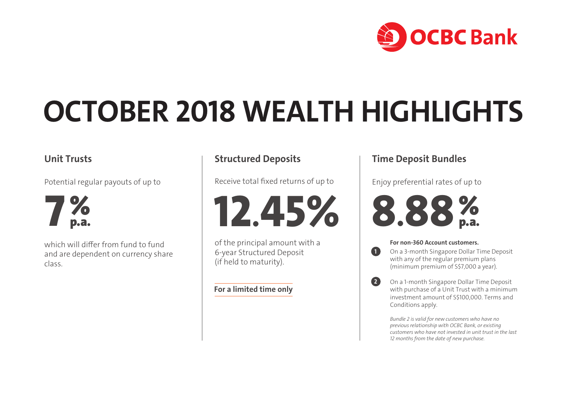

# **OCTOBER 2018 WEALTH HIGHLIGHTS**

## **Unit Trusts**



which will differ from fund to fund and are dependent on currency share class.

## **Structured Deposits**

Receive total fixed returns of up to

**12.45%**

of the principal amount with a 6-year Structured Deposit (if held to maturity).

#### **For a limited time only**

## **Time Deposit Bundles**

Enjoy preferential rates of up to



**1**

**2**

#### **For non-360 Account customers.**

 On a 3-month Singapore Dollar Time Deposit with any of the regular premium plans (minimum premium of S\$7,000 a year).

 On a 1-month Singapore Dollar Time Deposit with purchase of a Unit Trust with a minimum investment amount of S\$100,000. Terms and Conditions apply.

 *Bundle 2 is valid for new customers who have no previous relationship with OCBC Bank, or existing customers who have not invested in unit trust in the last 12 months from the date of new purchase.*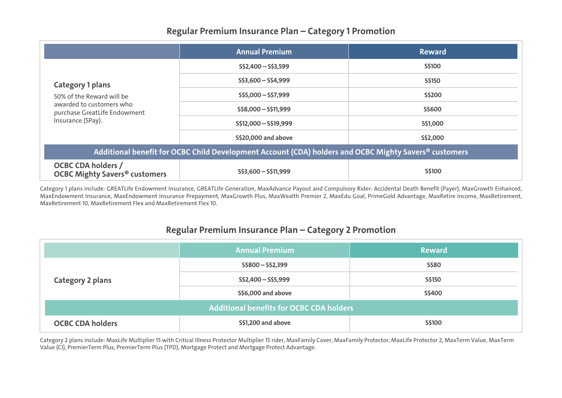## **Regular Premium Insurance Plan – Category 1 Promotion**

|                                                                                                                                       | <b>Annual Premium</b>   | <b>Reward</b> |  |  |
|---------------------------------------------------------------------------------------------------------------------------------------|-------------------------|---------------|--|--|
| <b>Category 1 plans</b><br>50% of the Reward will be<br>awarded to customers who<br>purchase GreatLife Endowment<br>Insurance (5Pay). | $S\$ 2,400 - S\3,599    | S\$100        |  |  |
|                                                                                                                                       | $S$ \$3,600 - S\$4,999  | S\$150        |  |  |
|                                                                                                                                       | $S$5,000-S$7,999$       | S\$200        |  |  |
|                                                                                                                                       | $S$ \$8,000 - S\$11,999 | S\$600        |  |  |
|                                                                                                                                       | $S$12,000 - S$19,999$   | S\$1,000      |  |  |
|                                                                                                                                       | \$\$20,000 and above    | S\$2,000      |  |  |
| Additional benefit for OCBC Child Development Account (CDA) holders and OCBC Mighty Savers <sup>®</sup> customers                     |                         |               |  |  |
| <b>OCBC CDA holders /</b><br><b>OCBC Mighty Savers<sup>®</sup> customers</b>                                                          | $S$ \$3,600 - S\$11,999 | S\$100        |  |  |

Category 1 plans include: GREATLife Endowment Insurance, GREATLife Generation, MaxAdvance Payout and Compulsory Rider: Accidental Death Benefit (Payer), MaxGrowth Enhanced, MaxEndowment Insurance, MaxEndowment Insurance Prepayment, MaxGrowth Plus, MaxWealth Premier 2, MaxEdu Goal, PrimeGold Advantage, MaxRetire Income, MaxRetirement, MaxRetirement 10, MaxRetirement Flex and MaxRetirement Flex 10.

### **Regular Premium Insurance Plan – Category 2 Promotion**

|                                                 | <b>Annual Premium</b>     | <b>Reward</b> |  |
|-------------------------------------------------|---------------------------|---------------|--|
| <b>Category 2 plans</b>                         | $S$800-S$2,399$           | <b>S\$80</b>  |  |
|                                                 | $S\$ 2,400-S\5,999        | S\$150        |  |
|                                                 | \$\$6,000 and above       | <b>S\$400</b> |  |
| <b>Additional benefits for OCBC CDA holders</b> |                           |               |  |
| <b>OCBC CDA holders</b>                         | <b>S\$1,200 and above</b> | <b>S\$100</b> |  |

Category 2 plans include: MaxLife Multiplier 15 with Critical Illness Protector Multiplier 15 rider, MaxFamily Cover, MaxFamily Protector, MaxLife Protector 2, MaxTerm Value, MaxTerm Value (CI), PremierTerm Plus, PremierTerm Plus (TPD), Mortgage Protect and Mortgage Protect Advantage.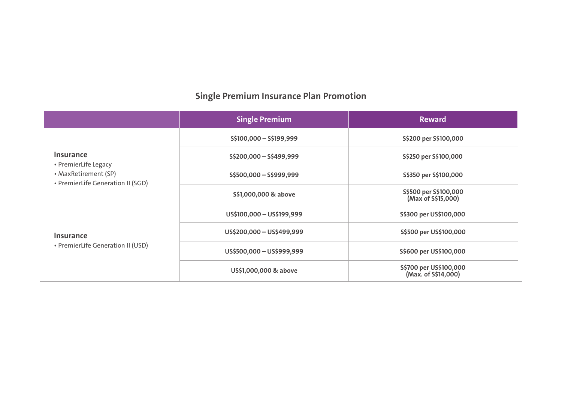## **Single Premium Insurance Plan Promotion**

|                                                                                                | <b>Single Premium</b>     | <b>Reward</b>                                 |
|------------------------------------------------------------------------------------------------|---------------------------|-----------------------------------------------|
| Insurance<br>• PremierLife Legacy<br>• MaxRetirement (SP)<br>• PremierLife Generation II (SGD) | S\$100,000 - S\$199,999   | S\$200 per S\$100,000                         |
|                                                                                                | $S\$ 200,000-S\499,999    | S\$250 per S\$100,000                         |
|                                                                                                | $S$500,000-S$999,999$     | S\$350 per S\$100,000                         |
|                                                                                                | S\$1,000,000 & above      | S\$500 per S\$100,000<br>(Max of S\$15,000)   |
| <b>Insurance</b><br>• PremierLife Generation II (USD)                                          | US\$100,000 - US\$199,999 | S\$300 per US\$100,000                        |
|                                                                                                | US\$200,000 - US\$499,999 | S\$500 per US\$100,000                        |
|                                                                                                | US\$500,000 - US\$999,999 | S\$600 per US\$100,000                        |
|                                                                                                | US\$1,000,000 & above     | S\$700 per US\$100,000<br>(Max. of S\$14,000) |